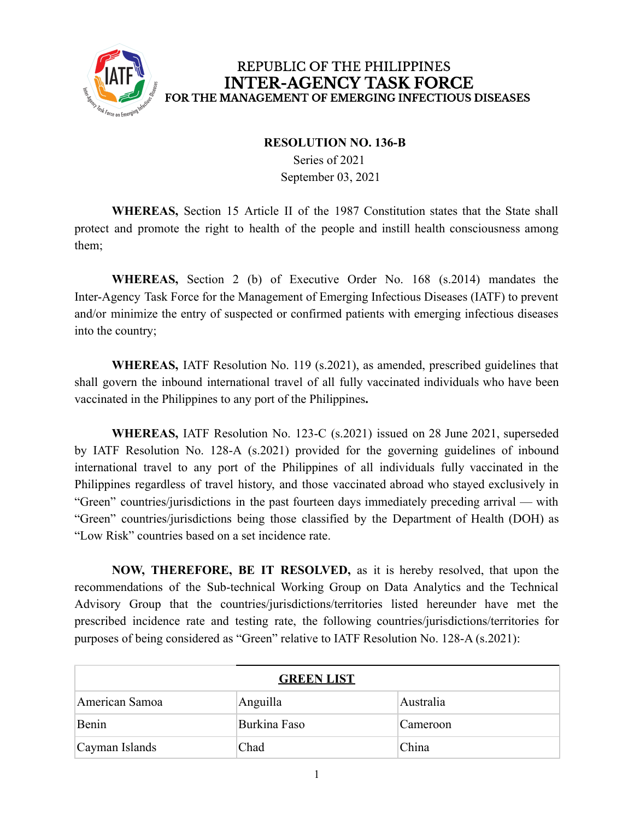

## REPUBLIC OF THE PHILIPPINES **INTER-AGENCY TASK FORCE** FOR THE MANAGEMENT OF EMERGING INFECTIOUS DISEASES

## **RESOLUTION NO. 136-B**

Series of 2021 September 03, 2021

**WHEREAS,** Section 15 Article II of the 1987 Constitution states that the State shall protect and promote the right to health of the people and instill health consciousness among them;

**WHEREAS,** Section 2 (b) of Executive Order No. 168 (s.2014) mandates the Inter-Agency Task Force for the Management of Emerging Infectious Diseases (IATF) to prevent and/or minimize the entry of suspected or confirmed patients with emerging infectious diseases into the country;

**WHEREAS,** IATF Resolution No. 119 (s.2021), as amended, prescribed guidelines that shall govern the inbound international travel of all fully vaccinated individuals who have been vaccinated in the Philippines to any port of the Philippines**.**

**WHEREAS,** IATF Resolution No. 123-C (s.2021) issued on 28 June 2021, superseded by IATF Resolution No. 128-A (s.2021) provided for the governing guidelines of inbound international travel to any port of the Philippines of all individuals fully vaccinated in the Philippines regardless of travel history, and those vaccinated abroad who stayed exclusively in "Green" countries/jurisdictions in the past fourteen days immediately preceding arrival — with "Green" countries/jurisdictions being those classified by the Department of Health (DOH) as "Low Risk" countries based on a set incidence rate.

**NOW, THEREFORE, BE IT RESOLVED,** as it is hereby resolved, that upon the recommendations of the Sub-technical Working Group on Data Analytics and the Technical Advisory Group that the countries/jurisdictions/territories listed hereunder have met the prescribed incidence rate and testing rate, the following countries/jurisdictions/territories for purposes of being considered as "Green" relative to IATF Resolution No. 128-A (s.2021):

| <b>GREEN LIST</b> |              |           |  |
|-------------------|--------------|-----------|--|
| American Samoa    | Anguilla     | Australia |  |
| Benin             | Burkina Faso | Cameroon  |  |
| Cayman Islands    | Chad         | China     |  |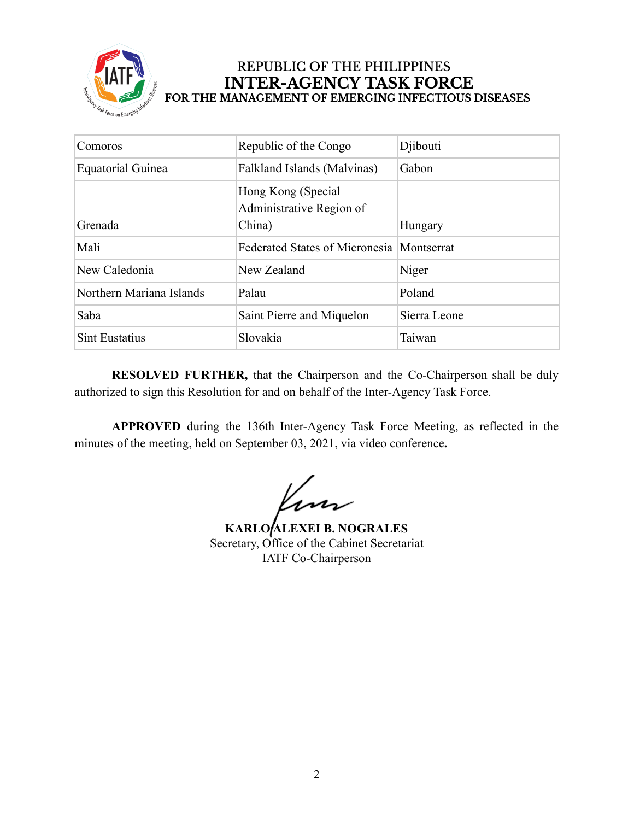

## REPUBLIC OF THE PHILIPPINES **INTER-AGENCY TASK FORCE** FOR THE MANAGEMENT OF EMERGING INFECTIOUS DISEASES

| Comoros                  | Republic of the Congo                          | Djibouti     |
|--------------------------|------------------------------------------------|--------------|
| <b>Equatorial Guinea</b> | Falkland Islands (Malvinas)                    | Gabon        |
|                          | Hong Kong (Special<br>Administrative Region of |              |
| Grenada                  | China)                                         | Hungary      |
| Mali                     | <b>Federated States of Micronesia</b>          | Montserrat   |
| New Caledonia            | New Zealand                                    | Niger        |
| Northern Mariana Islands | Palau                                          | Poland       |
| Saba                     | Saint Pierre and Miquelon                      | Sierra Leone |
| <b>Sint Eustatius</b>    | Slovakia                                       | Taiwan       |

**RESOLVED FURTHER,** that the Chairperson and the Co-Chairperson shall be duly authorized to sign this Resolution for and on behalf of the Inter-Agency Task Force.

**APPROVED** during the 136th Inter-Agency Task Force Meeting, as reflected in the minutes of the meeting, held on September 03, 2021, via video conference**.**

Kun

**KARLO ALEXEI B. NOGRALES** Secretary, Office of the Cabinet Secretariat IATF Co-Chairperson